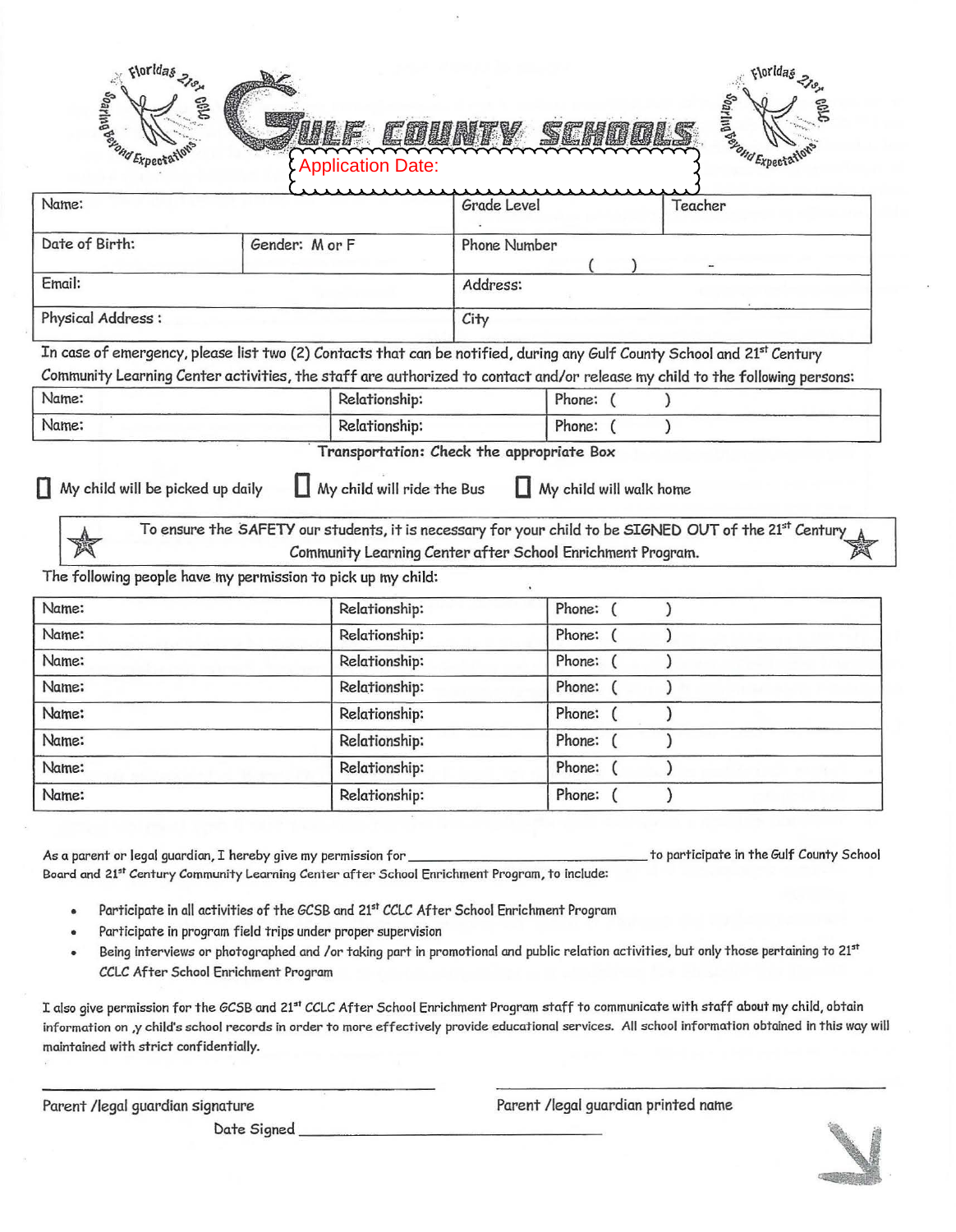| <b>Septimal Expects</b>                                                                                                     |                | <b>Application Date:</b>                                   |                     |                         |                                                                                                        |  |
|-----------------------------------------------------------------------------------------------------------------------------|----------------|------------------------------------------------------------|---------------------|-------------------------|--------------------------------------------------------------------------------------------------------|--|
| Name:                                                                                                                       |                |                                                            | Grade Level         |                         | <b>September 1997</b><br>Teacher                                                                       |  |
| Date of Birth:                                                                                                              | Gender: M or F |                                                            | <b>Phone Number</b> |                         |                                                                                                        |  |
|                                                                                                                             |                |                                                            |                     |                         |                                                                                                        |  |
| Email:                                                                                                                      |                |                                                            | Address:            |                         |                                                                                                        |  |
| Physical Address:                                                                                                           |                |                                                            | City                |                         |                                                                                                        |  |
| In case of emergency, please list two (2) Contacts that can be notified, during any Gulf County School and 21st Century     |                |                                                            |                     |                         |                                                                                                        |  |
| Community Learning Center activities, the staff are authorized to contact and/or release my child to the following persons: |                |                                                            |                     |                         |                                                                                                        |  |
| Name:                                                                                                                       |                |                                                            | Relationship:       |                         | $\mathcal{E}$                                                                                          |  |
| Name:                                                                                                                       |                | Relationship:                                              |                     |                         |                                                                                                        |  |
|                                                                                                                             |                | Transportation: Check the appropriate Box                  |                     | Phone: (                | $\lambda$                                                                                              |  |
| My child will be picked up daily                                                                                            |                | My child will ride the Bus                                 |                     | My child will walk home | To ensure the SAFETY our students, it is necessary for your child to be SIGNED OUT of the 21st Century |  |
|                                                                                                                             |                | Community Learning Center after School Enrichment Program. |                     |                         |                                                                                                        |  |
|                                                                                                                             |                | Relationship:                                              |                     | Phone: (                | $\mathcal{E}$                                                                                          |  |
|                                                                                                                             |                | Relationship:                                              |                     | Phone: (                | $\lambda$                                                                                              |  |
|                                                                                                                             |                | Relationship:                                              |                     | Phone: (                |                                                                                                        |  |
|                                                                                                                             |                | Relationship:                                              |                     | Phone:<br>€             |                                                                                                        |  |
|                                                                                                                             |                | Relationship:                                              |                     | Phone:                  | )                                                                                                      |  |
|                                                                                                                             |                | Relationship:                                              |                     | Phone:                  | ١                                                                                                      |  |
| The following people have my permission to pick up my child:<br>Name:<br>Name:<br>Name:<br>Name:<br>Name:<br>Name:<br>Name: |                | Relationship:                                              |                     | Phone:                  |                                                                                                        |  |

As a parent or legal guardian, I hereby give my permission for \_\_\_\_\_\_\_\_\_\_\_\_\_\_ to participate in the Gulf County School Board and 21<sup>st</sup> Century Community Learning Center after School Enrichment Program, to include:

- Participate in all activities of the GCSB and 21st CCLC After School Enrichment Program
- Participate in program field trips under proper supervision
- Being interviews or photographed and /or taking part in promotional and public relation activities, but only those pertaining to 21st  $\bullet$ CCLC After School Enrichment Program

I also give permission for the GCSB and 21st CCLC After School Enrichment Program staff to communicate with staff about my child, obtain information on ,y child's school records in order to more effectively provide educational services. All school information obtained in this way will maintained with strict confidentially.

Date Signed------------ -----

Parent /legal guardian signature entrymined and parent /legal guardian printed name